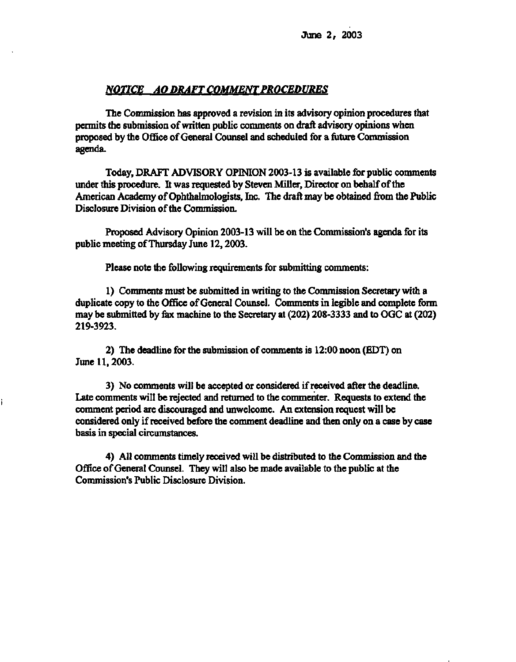### *NOTICE AO DRAFT COMMENT PROCEDURES*

**The Commission has approved a revision in its advisory opinion procedures that permits the submission of written public comments on draft advisory opinions when proposed by the Office of General Counsel and scheduled for a future Commission agenda.** 

**Today, DRAFT ADVISORY OPINION 2003-13 is available for public comments under this procedure. It was requested by Steven Miller, Director on behalf of the American Academy of Ophthalmologists, Inc. The draft may be obtained from the Public Disclosure Division of the Commission.** 

**Proposed Advisory Opinion 2003-13 will be on the Commission's agenda for its public meeting of Thursday June 12, 2003.** 

**Please note the following requirements for submitting comments:** 

**1) Comments must be submitted in writing to the Commission Secretary with a duplicate copy to the Office of General Counsel. Comments in legible and complete form may be submitted by fax machine to the Secretary at (202) 208-3333 and to OGC at (202) 219-3923.** 

**2) The deadline for the submission of comments is 12:00 noon (EDT) on June 11, 2003.** 

**3) No comments will be accepted or considered if received after the deadline. Late comments will be rejected and returned to the commenter. Requests to extend the comment period are discouraged and unwelcome. An extension request will be considered only if received before the comment deadline and then only on a case by case basis in special circumstances.** 

**4) All comments timely received will be distributed to the Commission and the Office of General Counsel. They will also be made available to the public at the Commission's Public Disclosure Division.**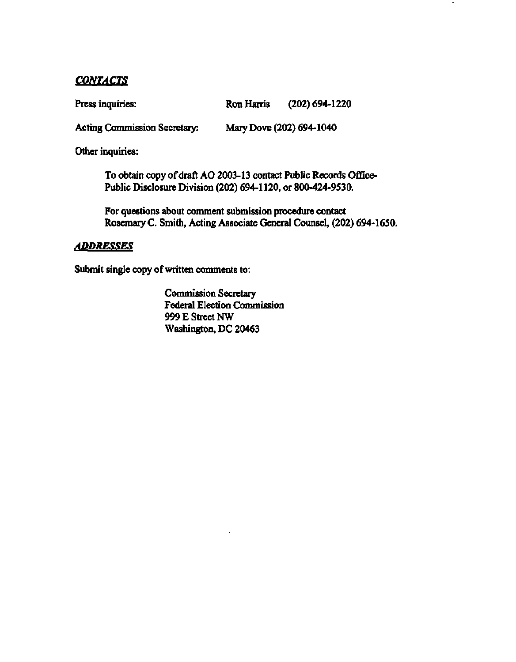# *CONTACTS*

| Press inquiries:<br>Ron Harris |  | $(202)$ 694-1220 |
|--------------------------------|--|------------------|
|--------------------------------|--|------------------|

**Acting Commission Secretary: Mary Dove (202) 694-1040** 

**Other inquiries:** 

**To obtain copy of draft AO 2003-13 contact Public Records Office-Public Disclosure Division (202) 694-1120, or 800-424-9530.** 

**For questions about comment submission procedure contact Rosemary C. Smith, Acting Associate General Counsel, (202) 694-1650.** 

## *ADDRESSES*

**Submit single copy of written comments to:** 

**Commission Secretary Federal Election Commission 999 E Street NW Washington, DC 20463**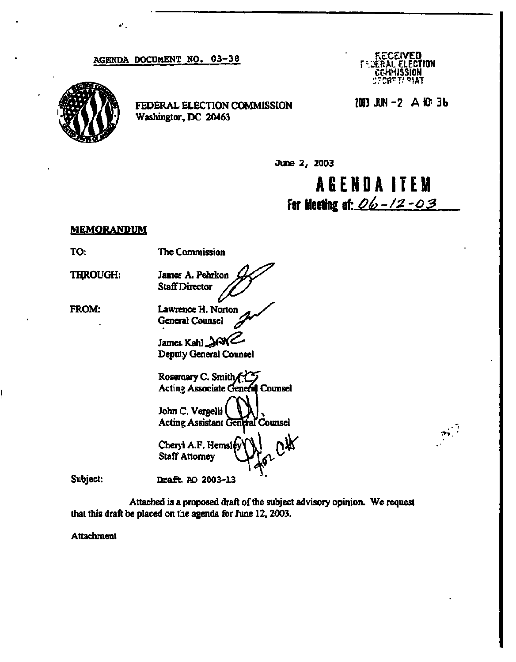#### **AGENDA DOCUMENT NO. 03-38**



**FEDERAL ELECTION COMMISSION Washington, DC 20463** 

**KECEIVED<br>I SJERAL ELECT** *ELECTION* **COMMISSION ::7 p <sup>R</sup> r <sup>T</sup> . \*| <sup>A</sup> <sup>T</sup>**

**Z003 JUN - 2 A 10-. 3b** 

**June 2, 2003** 

**AGEND A ITEM For Meeting** *t\-Dt>-/2-o3* 

#### **MEMORANDUM**

**TO: The Commission** 

**THROUGH:** 

**FROM:** 

**Lawrence H. Norton General Counsel** 

James A. Pehrkon  $Staff$  Director

**James. Kahl Deputy General Counsel** 

**Rosemary C. Smith Acting Associate General Counsel John C. Vergelli Acting Assistant General Counsel** 

**Cheryl A.F. Hemsify Staff Attorney** 

**Subject: Draft. AO 2003-13** 

**Attached is a proposed draft of the subject advisory opinion. We request that this draft be placed on the agenda for June 12, 2003.** 

**Attachment**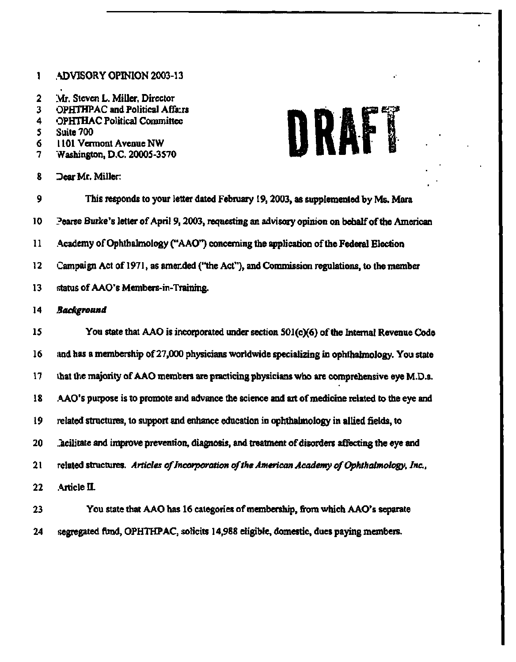### **1 ADVISORY OPINION 2003-13**

- 2 **Mr. Steven L. Miller, Director**
- **3 OPHTHPAC and Political Affairs**
- **4 OPHTHAC Political Committee**
- **5 Suite 700**
- **6 1101 Vermont Avenue NW**
- **7 Washington, D.C. 20005-3570**
- **8 ".Dear Mr. Miller:**



- **9 This responds to your letter dated February 19, 2003, as supplemented by Ms. Mara 10 ?earse Burke's letter of April 9, 2003, requesting an advisory opinion on behalf of the American 11 Academy of Ophthalmology ("AAO\*) concerning the application of the Federal Election 12 Campaign Act of 1971, as amended ("the Act"), and Commission regulations, to the member 13 status of AAO's Members-in-Training.**  14 *Background*  **15 You state that AAO is incorporated under section 501(c)(6) of the Internal Revenue Code 16 and has a membership of 27,000 physicians worldwide specializing in ophthalmology. You state**  17 that the majority of AAO members are practicing physicians who are comprehensive eye M.D.s. **18 AAO's purpose is to promote and advance the science and art of medicine related to the eye and 19 related structures, to support and enhance education in ophthalmology in allied fields, to 20 ..acilitate and improve prevention, diagnosis, and treatment of disorders affecting the eye and**  21 related structures. *Articles of Incorporation of the American Academy of Ophthalmology, Inc.,*  22 **Article II. 23 You state that AAO has 16 categories of membership, from which AAO's separate**
- **24 segregated fund, OPHTHPAC, solicits 14,988 eligible, domestic, dues paying members.**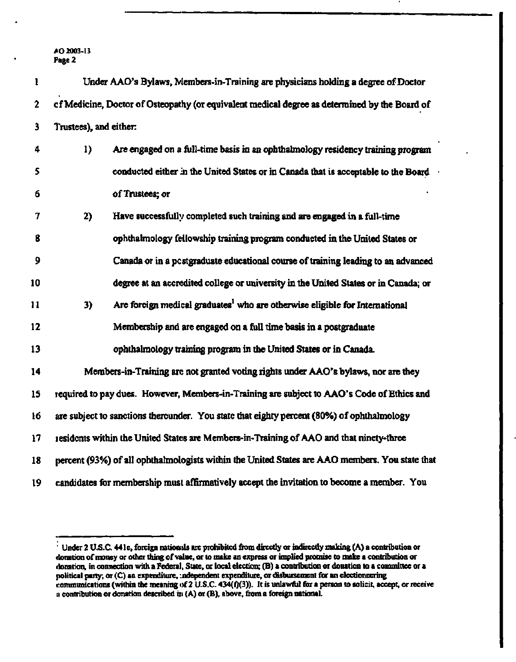| ı       |                        | Under AAO's Bylaws, Members-in-Training are physicians holding a degree of Doctor              |
|---------|------------------------|------------------------------------------------------------------------------------------------|
| 2       |                        | of Medicine, Doctor of Osteopathy (or equivalent medical degree as determined by the Board of  |
| 3       | Trustees), and either: |                                                                                                |
| 4       | 1)                     | Are engaged on a full-time basis in an ophthalmology residency training program                |
| 5       |                        | conducted either in the United States or in Canada that is acceptable to the Board             |
| 6       |                        | of Trustees; or                                                                                |
| 7       | 2)                     | Have successfully completed such training and are engaged in a full-time                       |
| 8       |                        | ophthalmology fellowship training program conducted in the United States or                    |
| 9       |                        | Canada or in a postgraduate educational course of training leading to an advanced              |
| 10      |                        | degree at an accredited college or university in the United States or in Canada; or            |
| 11      | 3)                     | Are foreign medical graduates <sup>1</sup> who are otherwise eligible for International        |
| 12      |                        | Membership and are engaged on a full time basis in a postgraduate                              |
| 13      |                        | ophthalmology training program in the United States or in Canada.                              |
| 14      |                        | Members-in-Training are not granted voting rights under AAO's bylaws, nor are they             |
| 15      |                        | required to pay dues. However, Members-in-Training are subject to AAO's Code of Ethics and     |
| 16      |                        | are subject to sanctions therounder. You state that eighty percent (80%) of ophthalmology      |
| $17 \,$ |                        | residents within the United States are Members-in-Training of AAO and that ninety-three        |
| 18      |                        | percent (93%) of all ophthalmologists within the United States are AAO members. You state that |
| 19      |                        | candidates for membership must affirmatively accept the invitation to become a member. You     |

<sup>&#</sup>x27; Under 2 U.S.C. **441c,** foreign nationals are prohibited from directly or indirectly making (A) a contribution or donation of money or other thing of value, or to make an express or implied promise **to make** a contribution or donation, in connection with a Federal, State, or local election; (B) a contribution or donation to a committee or a political party; or (C) an expenditure, independent expenditure, or disbursement for an electioneering communications (within the meaning of 2 U.S.C. 434(f)(3)). It is unlawful for a person to solicit, accept, or receive a contribution or donation described in (A) or (B), above, from a foreign national.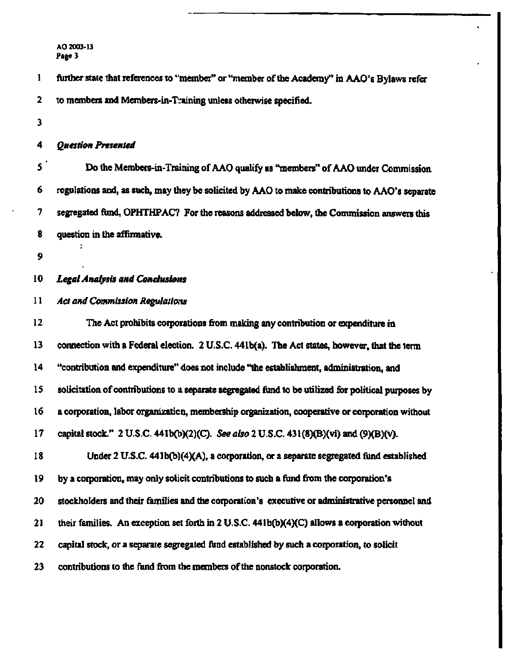**1 further state that references to "member" or "member of the Academy" in AAO's Bylaws refer 2 to members and Members-in-T::aining unless otherwise specified. 3 4** *Question Presented*  **5 Do the Members-in-Training of AAO qualify as "members" of AAO under Commission 6 regulations and, as such, may they be solicited by AAO to make contributions to AAO's separate 7 segregated fund, OPHTHPAC? For the reasons addressed below, the Commission answers this 8 question in the affirmative. 9 10** *Legal Analysis and Conclusions*  **11** *Act and Commission Regulations*  **12 The Act prohibits corporations from making any contribution or expenditure in 13 connection with a Federal election. 2 U.S.C. 44lb(a). The Act states, however, that the term 14 "contribution and expenditure" does not include "the establishment, administration, and 15 solicitation of contributions to a separate segregated fund to be utilized for political purposes by 16 a corporation, labor organizatic n, membership organization, cooperative or corporation without 17 capital stock." 2 U.S.C. 441b(b)(2)(C).** *See also 2* **U.S.C. 431(8)(B)(vi) and (9)(B)(v). 18 Under 2 U.S.C. 441b(b](4)(A), a corporation, or a separate segregated fund established 19 by a corporation, may only solicit contributions to such a fund from the corporation's 20 stockholders and their families and the corporation's executive or administrative personnel and 21 their families. An exception set forth in 2 U.S.C. 441b(b)(4)(C) allows a corporation without 22 capital stock, or a separate segregated fund established by such a corporation, to solicit 23 contributions to the fund from the members of the nonstock corporation.**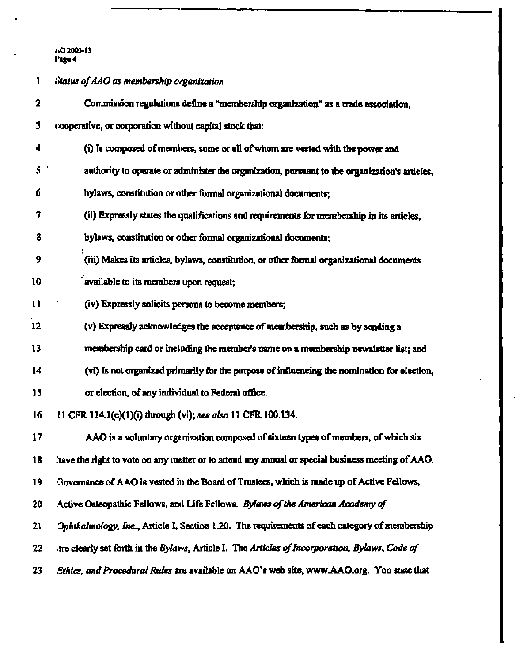**1** *Status of AAO as membership Organization 2* **Commission regulations define a "membership organization" as a trade association, 3 cooperative, or corporation without capital stock that: 4 (i) Is composed of members, some or all of whom are vested with the power and 5 ' authority to operate or administer the organization, pursuant to the organization's articles, 6 bylaws, constitution or other formal organizational documents; 7 (ii) Expressly states the qualifications and requirements for membership in its articles, 8 bylaws, constitution or other formal organizational documents; 9 (iii) Makes its articles, bylaws, constitution, or other formal organizational documents 10 available to its members upon request; 11 (iv) Expressly solicits persons to become members; 12 (v) Expressly acknowledges the acceptance of membership, such as by sending a 13 membership card or including the member's name on a membership newsletter list; and 14 (vi) Is not organized primarily for the purpose of influencing the nomination for election, 15 or election, of any individual to Federal office. 16 11 CFR 114.1(e)(l)(i) through (vi);** *see also* **11 CFR 100.134. 17 AAO is a voluntary organization composed of sixteen types of members, of which six 18 !iave the right to vote on any matter or to attend any annual or special business meeting of AAO.**  19 Governance of AAO is vested in the Board of Trustees, which is made up of Active Fellows, **20 Active Osteopathic Fellows, and Life Fellows.** *Bylaws of the American Academy of*  **21** *Ophthalmology, Inc.,* **Article I, Section 1.20. The requirements of each category of membership 22 are clearly set forth in the** *Bylaws,* **Article I. The** *Articles of Incorporation, Bylaws, Code of*  **23** *.Ethics, and Procedural Rules* **aie available on AAO's web site, [www.AAO.org.](http://www.AAO.org) You state that**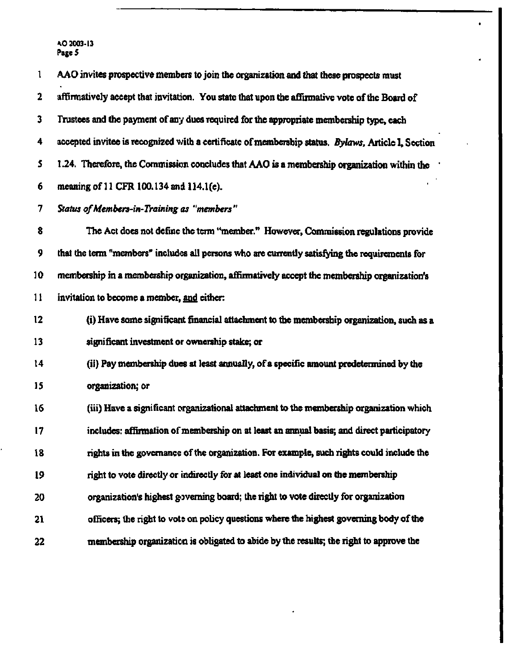| 1  | AAO invites prospective members to join the organization and that these prospects must             |
|----|----------------------------------------------------------------------------------------------------|
| 2  | affirmatively accept that invitation. You state that upon the affirmative vote of the Board of     |
| 3  | Trustees and the payment of any dues required for the appropriate membership type, each            |
| 4  | accepted invitee is recognized with a certificate of membership status. Bylaws, Article I, Section |
| 5  | 1.24. Therefore, the Commission concludes that AAO is a membership organization within the         |
| 6  | meaning of 11 CFR 100.134 and 114.1(e).                                                            |
| 7  | Status of Members-in-Training as "members"                                                         |
| 8  | The Act does not define the term "member." However, Commission regulations provide                 |
| 9  | that the term "members" includes all persons who are currently satisfying the requirements for     |
| 10 | membership in a membership organization, affirmatively accept the membership organization's        |
| 11 | invitation to become a member, and either:                                                         |
| 12 | (i) Have some significant financial attachment to the membership organization, such as a           |
| 13 | significant investment or ownership stake; or                                                      |
| 14 | (ii) Pay membership dues at least annually, of a specific amount predetermined by the              |
| 15 | organization; or                                                                                   |
| 16 | (iii) Have a significant organizational attachment to the membership organization which            |
| 17 | includes: affirmation of membership on at least an annual basis; and direct participatory          |
| 18 | rights in the governance of the organization. For example, such rights could include the           |
| 19 | right to vote directly or indirectly for at least one individual on the membership                 |
| 20 | organization's highest governing board; the right to vote directly for organization                |
| 21 | officers; the right to vote on policy questions where the highest governing body of the            |
| 22 | membership organization is obligated to abide by the results; the right to approve the             |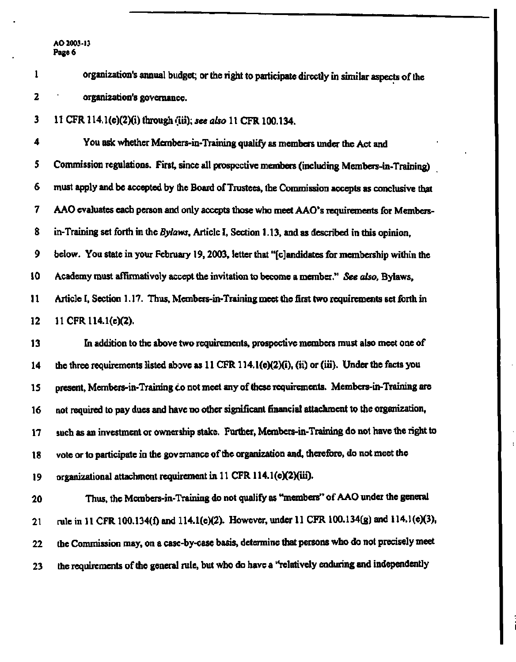| 1  | organization's annual budget; or the right to participate directly in similar aspects of the          |
|----|-------------------------------------------------------------------------------------------------------|
| 2  | organization's governance.                                                                            |
| 3  | 11 CFR 114.1(e)(2)(i) through (iii); see also 11 CFR 100.134.                                         |
| 4  | You ask whether Members-in-Training qualify as members under the Act and                              |
| 5  | Commission regulations. First, since all prospective members (including Members-in-Training)          |
| 6  | must apply and be accepted by the Board of Trustees, the Commission accepts as conclusive that        |
| 7  | AAO evaluates each person and only accepts those who meet AAO's requirements for Members-             |
| 8  | in-Training set forth in the Bylaws, Article I, Section 1.13, and as described in this opinion,       |
| 9  | below. You state in your February 19, 2003, letter that "[c] and idates for membership within the     |
| 10 | Academy must affirmatively accept the invitation to become a member." See also, Bylaws,               |
| 11 | Article I, Section 1.17. Thus, Members-in-Training meet the first two requirements set forth in       |
| 12 | 11 CFR 114.1(e)(2).                                                                                   |
| 13 | In addition to the above two requirements, prospective members must also meet one of                  |
| 14 | the three requirements listed above as $11$ CFR $114.1(e)(2)(i)$ , (ii) or (iii). Under the facts you |
| 15 | present, Members-in-Training co not meet any of these requirements. Members-in-Training are           |
| 16 | not required to pay dues and have no other significant financial attachment to the organization,      |
| 17 | such as an investment or ownership stake. Further, Members-in-Training do not have the right to       |
| 18 | vote or to participate in the governance of the organization and, therefore, do not meet the          |
| 19 | organizational attachment requirement in 11 CFR 114.1(e)(2)(iii).                                     |
| 20 | Thus, the Members-in-Training do not qualify as "members" of AAO under the general                    |
| 21 | rule in 11 CFR 100.134(f) and 114.1(e)(2). However, under 11 CFR 100.134(g) and 114.1(e)(3),          |
| 22 | the Commission may, on a case-by-case basis, determine that persons who do not precisely meet         |
| 23 | the requirements of the general rule, but who do have a "relatively enduring and independently        |
|    |                                                                                                       |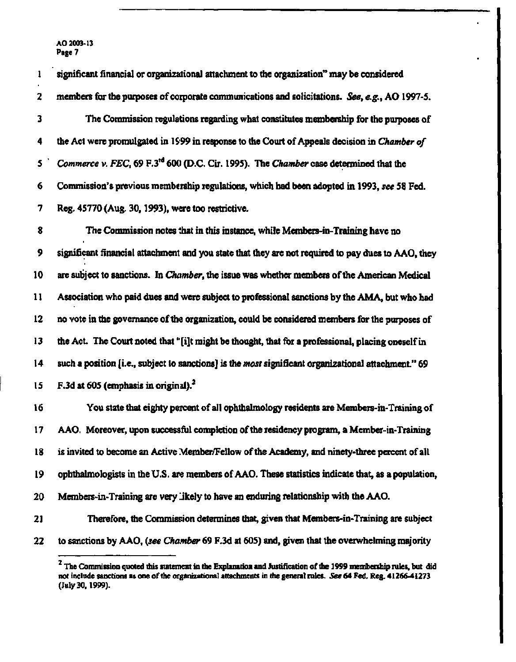| 1  | significant financial or organizational attachment to the organization" may be considered           |
|----|-----------------------------------------------------------------------------------------------------|
| 2  | members for the purposes of corporate communications and solicitations. See, e.g., AO 1997-5.       |
| 3  | The Commission regulations regarding what constitutes membership for the purposes of                |
| 4  | the Act were promulgated in 1999 in response to the Court of Appeals decision in Chamber of         |
| 5  | Commerce v. FEC, 69 F.3 <sup>rd</sup> 600 (D.C. Cir. 1995). The Chamber case determined that the    |
| 6  | Commission's previous membership regulations, which had been adopted in 1993, see 58 Fed.           |
| 7  | Reg. 45770 (Aug. 30, 1993), were too restrictive.                                                   |
| 8  | The Commission notes that in this instance, while Members-in-Training have no                       |
| 9  | significant financial attachment and you state that they are not required to pay dues to AAO, they  |
| 10 | are subject to sanctions. In Chamber, the issue was whether members of the American Medical         |
| 11 | Association who paid dues and were subject to professional sanctions by the AMA, but who had        |
| 12 | no vote in the governance of the organization, could be considered members for the purposes of      |
| 13 | the Act. The Court noted that "[i]t might be thought, that for a professional, placing oneself in   |
| 14 | such a position [i.e., subject to sanctions] is the most significant organizational attachment." 69 |
| 15 | F.3d at 605 (emphasis in original). $2$                                                             |
| 16 | You state that eighty percent of all ophthalmology residents are Members-in-Training of             |
| 17 | AAO. Moreover, upon successful completion of the residency program, a Member-in-Training            |
| 18 | is invited to become an Active Member/Fellow of the Academy, and ninety-three percent of all        |
| 19 | ophthalmologists in the U.S. are members of AAO. These statistics indicate that, as a population,   |
| 20 | Members-in-Training are very likely to have an enduring relationship with the AAO.                  |
| 21 | Therefore, the Commission determines that, given that Members-in-Training are subject               |
| 22 | to sanctions by AAO, (see Chamber 69 F.3d at 605) and, given that the overwhelming majority         |

**The Commission quoted this statement in the Explanation and Justification of the 1999 membership rules, but did not include sanctions as one of the organizational attachments in the general rules.** *See* **64 Fed. Reg. 41266-41273 (July 30,1999).**